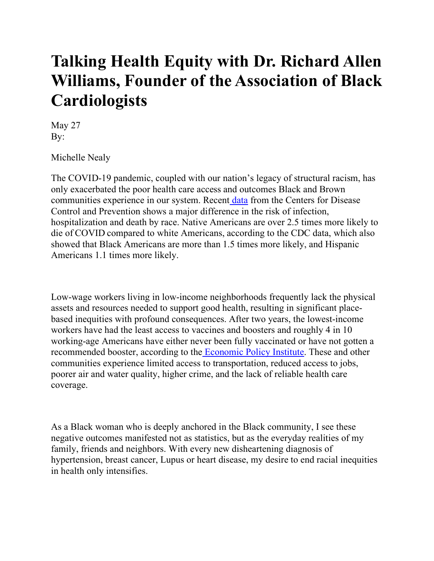## **Talking Health Equity with Dr. Richard Allen Williams, Founder of the Association of Black Cardiologists**

May 27 By:

Michelle Nealy

The COVID-19 pandemic, coupled with our nation's legacy of structural racism, has only exacerbated the poor health care access and outcomes Black and Brown communities experience in our system. Recen[t data](https://www.cdc.gov/coronavirus/2019-ncov/covid-data/investigations-discovery/hospitalization-death-by-race-ethnicity.html) from the Centers for Disease Control and Prevention shows a major difference in the risk of infection, hospitalization and death by race. Native Americans are over 2.5 times more likely to die of COVID compared to white Americans, according to the CDC data, which also showed that Black Americans are more than 1.5 times more likely, and Hispanic Americans 1.1 times more likely.

Low-wage workers living in low-income neighborhoods frequently lack the physical assets and resources needed to support good health, resulting in significant placebased inequities with profound consequences. After two years, the lowest-income workers have had the least access to vaccines and boosters and roughly 4 in 10 working-age Americans have either never been fully vaccinated or have not gotten a recommended booster, according to the [Economic Policy Institute.](https://www.epi.org/blog/the-unequal-toll-of-covid-19-on-workers/) These and other communities experience limited access to transportation, reduced access to jobs, poorer air and water quality, higher crime, and the lack of reliable health care coverage.

As a Black woman who is deeply anchored in the Black community, I see these negative outcomes manifested not as statistics, but as the everyday realities of my family, friends and neighbors. With every new disheartening diagnosis of hypertension, breast cancer, Lupus or heart disease, my desire to end racial inequities in health only intensifies.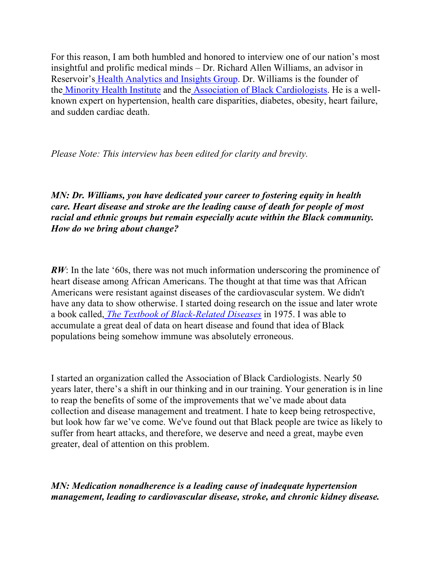For this reason, I am both humbled and honored to interview one of our nation's most insightful and prolific medical minds – Dr. Richard Allen Williams, an advisor in Reservoir'[s Health Analytics and Insights Group.](https://reservoircg.com/health-analytics-and-insights-group) Dr. Williams is the founder of the [Minority Health Institute](https://mhinst.org/) and th[e Association of Black Cardiologists.](https://abcardio.org/) He is a wellknown expert on hypertension, health care disparities, diabetes, obesity, heart failure, and sudden cardiac death.

*Please Note: This interview has been edited for clarity and brevity.*

*MN: Dr. Williams, you have dedicated your career to fostering equity in health care. Heart disease and stroke are the leading cause of death for people of most racial and ethnic groups but remain especially acute within the Black community. How do we bring about change?*

*RW*: In the late '60s, there was not much information underscoring the prominence of heart disease among African Americans. The thought at that time was that African Americans were resistant against diseases of the cardiovascular system. We didn't have any data to show otherwise. I started doing research on the issue and later wrote a book called, *[The Textbook of Black-Related Diseases](https://abcardio.org/recent-news/nmaahc-accepts-medical-textbook-by-dr-richard-allen-williams-into-its-archives/)* in 1975. I was able to accumulate a great deal of data on heart disease and found that idea of Black populations being somehow immune was absolutely erroneous.

I started an organization called the Association of Black Cardiologists. Nearly 50 years later, there's a shift in our thinking and in our training. Your generation is in line to reap the benefits of some of the improvements that we've made about data collection and disease management and treatment. I hate to keep being retrospective, but look how far we've come. We've found out that Black people are twice as likely to suffer from heart attacks, and therefore, we deserve and need a great, maybe even greater, deal of attention on this problem.

*MN: Medication nonadherence is a leading cause of inadequate hypertension management, leading to cardiovascular disease, stroke, and chronic kidney disease.*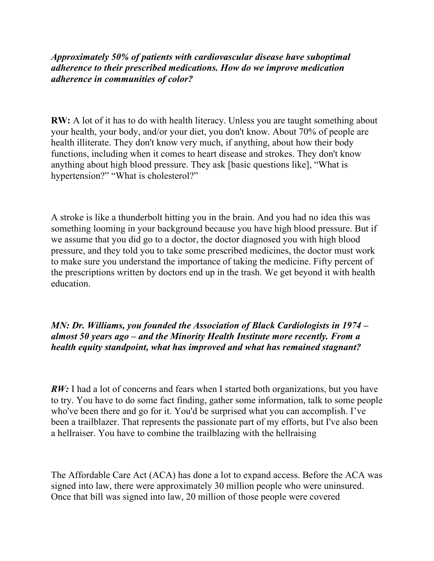*Approximately 50% of patients with cardiovascular disease have suboptimal adherence to their prescribed medications. How do we improve medication adherence in communities of color?*

**RW:** A lot of it has to do with health literacy. Unless you are taught something about your health, your body, and/or your diet, you don't know. About 70% of people are health illiterate. They don't know very much, if anything, about how their body functions, including when it comes to heart disease and strokes. They don't know anything about high blood pressure. They ask [basic questions like], "What is hypertension?" "What is cholesterol?"

A stroke is like a thunderbolt hitting you in the brain. And you had no idea this was something looming in your background because you have high blood pressure. But if we assume that you did go to a doctor, the doctor diagnosed you with high blood pressure, and they told you to take some prescribed medicines, the doctor must work to make sure you understand the importance of taking the medicine. Fifty percent of the prescriptions written by doctors end up in the trash. We get beyond it with health education.

## *MN: Dr. Williams, you founded the Association of Black Cardiologists in 1974 – almost 50 years ago – and the Minority Health Institute more recently. From a health equity standpoint, what has improved and what has remained stagnant?*

*RW*: I had a lot of concerns and fears when I started both organizations, but you have to try. You have to do some fact finding, gather some information, talk to some people who've been there and go for it. You'd be surprised what you can accomplish. I've been a trailblazer. That represents the passionate part of my efforts, but I've also been a hellraiser. You have to combine the trailblazing with the hellraising

The Affordable Care Act (ACA) has done a lot to expand access. Before the ACA was signed into law, there were approximately 30 million people who were uninsured. Once that bill was signed into law, 20 million of those people were covered